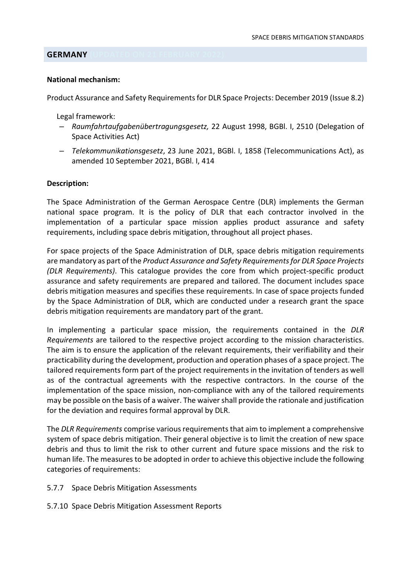## **GERMANY**

#### National mechanism:

Product Assurance and Safety Requirements for DLR Space Projects: December 2019 (Issue 8.2)

Legal framework:

- Raumfahrtaufgabenübertragungsgesetz, 22 August 1998, BGBl. I, 2510 (Delegation of Space Activities Act)
- Telekommunikationsgesetz, 23 June 2021, BGBl. I, 1858 (Telecommunications Act), as amended 10 September 2021, BGBl. I, 414

#### Description:

The Space Administration of the German Aerospace Centre (DLR) implements the German national space program. It is the policy of DLR that each contractor involved in the implementation of a particular space mission applies product assurance and safety requirements, including space debris mitigation, throughout all project phases.

For space projects of the Space Administration of DLR, space debris mitigation requirements are mandatory as part of the Product Assurance and Safety Requirements for DLR Space Projects (DLR Requirements). This catalogue provides the core from which project-specific product assurance and safety requirements are prepared and tailored. The document includes space debris mitigation measures and specifies these requirements. In case of space projects funded by the Space Administration of DLR, which are conducted under a research grant the space debris mitigation requirements are mandatory part of the grant.

In implementing a particular space mission, the requirements contained in the DLR Requirements are tailored to the respective project according to the mission characteristics. The aim is to ensure the application of the relevant requirements, their verifiability and their practicability during the development, production and operation phases of a space project. The tailored requirements form part of the project requirements in the invitation of tenders as well as of the contractual agreements with the respective contractors. In the course of the implementation of the space mission, non-compliance with any of the tailored requirements may be possible on the basis of a waiver. The waiver shall provide the rationale and justification for the deviation and requires formal approval by DLR.

The *DLR Requirements* comprise various requirements that aim to implement a comprehensive system of space debris mitigation. Their general objective is to limit the creation of new space debris and thus to limit the risk to other current and future space missions and the risk to human life. The measures to be adopted in order to achieve this objective include the following categories of requirements:

- 5.7.7 Space Debris Mitigation Assessments
- 5.7.10 Space Debris Mitigation Assessment Reports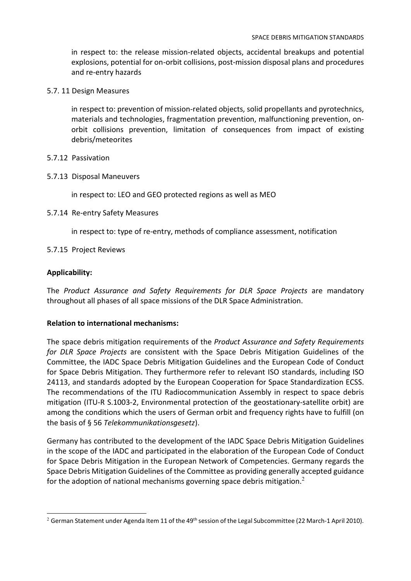in respect to: the release mission-related objects, accidental breakups and potential explosions, potential for on-orbit collisions, post-mission disposal plans and procedures and re-entry hazards

5.7. 11 Design Measures

in respect to: prevention of mission-related objects, solid propellants and pyrotechnics, materials and technologies, fragmentation prevention, malfunctioning prevention, onorbit collisions prevention, limitation of consequences from impact of existing debris/meteorites

- 5.7.12 Passivation
- 5.7.13 Disposal Maneuvers

in respect to: LEO and GEO protected regions as well as MEO

5.7.14 Re-entry Safety Measures

in respect to: type of re-entry, methods of compliance assessment, notification

5.7.15 Project Reviews

# Applicability:

The Product Assurance and Safety Requirements for DLR Space Projects are mandatory throughout all phases of all space missions of the DLR Space Administration.

# Relation to international mechanisms:

The space debris mitigation requirements of the Product Assurance and Safety Requirements for DLR Space Projects are consistent with the Space Debris Mitigation Guidelines of the Committee, the IADC Space Debris Mitigation Guidelines and the European Code of Conduct for Space Debris Mitigation. They furthermore refer to relevant ISO standards, including ISO 24113, and standards adopted by the European Cooperation for Space Standardization ECSS. The recommendations of the ITU Radiocommunication Assembly in respect to space debris mitigation (ITU-R S.1003-2, Environmental protection of the geostationary-satellite orbit) are among the conditions which the users of German orbit and frequency rights have to fulfill (on the basis of § 56 Telekommunikationsgesetz).

Germany has contributed to the development of the IADC Space Debris Mitigation Guidelines in the scope of the IADC and participated in the elaboration of the European Code of Conduct for Space Debris Mitigation in the European Network of Competencies. Germany regards the Space Debris Mitigation Guidelines of the Committee as providing generally accepted guidance for the adoption of national mechanisms governing space debris mitigation.<sup>2</sup>

<sup>&</sup>lt;sup>2</sup> German Statement under Agenda Item 11 of the 49<sup>th</sup> session of the Legal Subcommittee (22 March-1 April 2010).